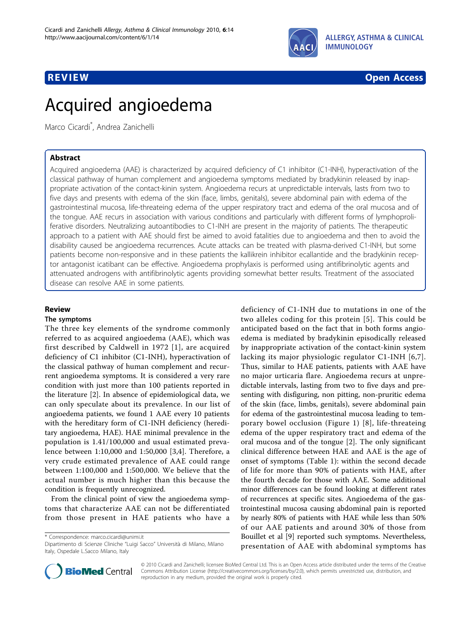

## **REVIEW CONSTRUCTION CONSTRUCTION CONSTRUCTS**

# Acquired angioedema

Marco Cicardi\* , Andrea Zanichelli

## Abstract

Acquired angioedema (AAE) is characterized by acquired deficiency of C1 inhibitor (C1-INH), hyperactivation of the classical pathway of human complement and angioedema symptoms mediated by bradykinin released by inappropriate activation of the contact-kinin system. Angioedema recurs at unpredictable intervals, lasts from two to five days and presents with edema of the skin (face, limbs, genitals), severe abdominal pain with edema of the gastrointestinal mucosa, life-threateing edema of the upper respiratory tract and edema of the oral mucosa and of the tongue. AAE recurs in association with various conditions and particularly with different forms of lymphoproliferative disorders. Neutralizing autoantibodies to C1-INH are present in the majority of patients. The therapeutic approach to a patient with AAE should first be aimed to avoid fatalities due to angioedema and then to avoid the disability caused be angioedema recurrences. Acute attacks can be treated with plasma-derived C1-INH, but some patients become non-responsive and in these patients the kallikrein inhibitor ecallantide and the bradykinin receptor antagonist icatibant can be effective. Angioedema prophylaxis is performed using antifibrinolytic agents and attenuated androgens with antifibrinolytic agents providing somewhat better results. Treatment of the associated disease can resolve AAE in some patients.

## Review

## The symptoms

The three key elements of the syndrome commonly referred to as acquired angioedema (AAE), which was first described by Caldwell in 1972 [[1\]](#page-3-0), are acquired deficiency of C1 inhibitor (C1-INH), hyperactivation of the classical pathway of human complement and recurrent angioedema symptoms. It is considered a very rare condition with just more than 100 patients reported in the literature [[2\]](#page-3-0). In absence of epidemiological data, we can only speculate about its prevalence. In our list of angioedema patients, we found 1 AAE every 10 patients with the hereditary form of C1-INH deficiency (hereditary angioedema, HAE). HAE minimal prevalence in the population is 1.41/100,000 and usual estimated prevalence between 1:10,000 and 1:50,000 [[3,4](#page-3-0)]. Therefore, a very crude estimated prevalence of AAE could range between 1:100,000 and 1:500,000. We believe that the actual number is much higher than this because the condition is frequently unrecognized.

From the clinical point of view the angioedema symptoms that characterize AAE can not be differentiated from those present in HAE patients who have a

\* Correspondence: [marco.cicardi@unimi.it](mailto:marco.cicardi@unimi.it)

deficiency of C1-INH due to mutations in one of the two alleles coding for this protein [[5](#page-3-0)]. This could be anticipated based on the fact that in both forms angioedema is mediated by bradykinin episodically released by inappropriate activation of the contact-kinin system lacking its major physiologic regulator C1-INH [[6](#page-3-0),[7\]](#page-3-0). Thus, similar to HAE patients, patients with AAE have no major urticaria flare. Angioedema recurs at unpredictable intervals, lasting from two to five days and presenting with disfiguring, non pitting, non-pruritic edema of the skin (face, limbs, genitals), severe abdominal pain for edema of the gastrointestinal mucosa leading to temporary bowel occlusion (Figure [1](#page-1-0)) [[8](#page-3-0)], life-threateing edema of the upper respiratory tract and edema of the oral mucosa and of the tongue [[2](#page-3-0)]. The only significant clinical difference between HAE and AAE is the age of onset of symptoms (Table [1\)](#page-1-0): within the second decade of life for more than 90% of patients with HAE, after the fourth decade for those with AAE. Some additional minor differences can be found looking at different rates of recurrences at specific sites. Angioedema of the gastrointestinal mucosa causing abdominal pain is reported by nearly 80% of patients with HAE while less than 50% of our AAE patients and around 30% of those from Bouillet et al [\[9](#page-4-0)] reported such symptoms. Nevertheless, presentation of AAE with abdominal symptoms has



© 2010 Cicardi and Zanichelli; licensee BioMed Central Ltd. This is an Open Access article distributed under the terms of the Creative Commons Attribution License [\(http://creativecommons.org/licenses/by/2.0](http://creativecommons.org/licenses/by/2.0)), which permits unrestricted use, distribution, and reproduction in any medium, provided the original work is properly cited.

Dipartimento di Scienze Cliniche "Luigi Sacco" Università di Milano, Milano Italy, Ospedale L.Sacco Milano, Italy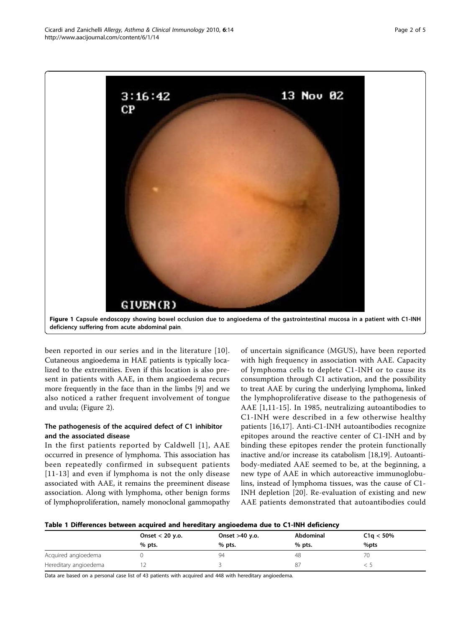<span id="page-1-0"></span>

been reported in our series and in the literature [[10\]](#page-4-0). Cutaneous angioedema in HAE patients is typically localized to the extremities. Even if this location is also present in patients with AAE, in them angioedema recurs more frequently in the face than in the limbs [[9\]](#page-4-0) and we also noticed a rather frequent involvement of tongue and uvula; (Figure [2](#page-2-0)).

## The pathogenesis of the acquired defect of C1 inhibitor and the associated disease

In the first patients reported by Caldwell [[1\]](#page-3-0), AAE occurred in presence of lymphoma. This association has been repeatedly confirmed in subsequent patients [[11-13\]](#page-4-0) and even if lymphoma is not the only disease associated with AAE, it remains the preeminent disease association. Along with lymphoma, other benign forms of lymphoproliferation, namely monoclonal gammopathy of uncertain significance (MGUS), have been reported with high frequency in association with AAE. Capacity of lymphoma cells to deplete C1-INH or to cause its consumption through C1 activation, and the possibility to treat AAE by curing the underlying lymphoma, linked the lymphoproliferative disease to the pathogenesis of AAE [\[1,](#page-3-0)[11](#page-4-0)-[15\]](#page-4-0). In 1985, neutralizing autoantibodies to C1-INH were described in a few otherwise healthy patients [\[16,17](#page-4-0)]. Anti-C1-INH autoantibodies recognize epitopes around the reactive center of C1-INH and by binding these epitopes render the protein functionally inactive and/or increase its catabolism [[18,19](#page-4-0)]. Autoantibody-mediated AAE seemed to be, at the beginning, a new type of AAE in which autoreactive immunoglobulins, instead of lymphoma tissues, was the cause of C1- INH depletion [\[20\]](#page-4-0). Re-evaluation of existing and new AAE patients demonstrated that autoantibodies could

#### Table 1 Differences between acquired and hereditary angioedema due to C1-INH deficiency

|                       | Onset $<$ 20 y.o. | Onset >40 y.o. | Abdominal | C1q < 50% |
|-----------------------|-------------------|----------------|-----------|-----------|
|                       | % pts.            | $%$ pts.       | $%$ pts.  | $%$ pts   |
| Acquired angioedema   |                   | 94             | 48        | 70        |
| Hereditary angioedema |                   |                | 87        |           |

Data are based on a personal case list of 43 patients with acquired and 448 with hereditary angioedema.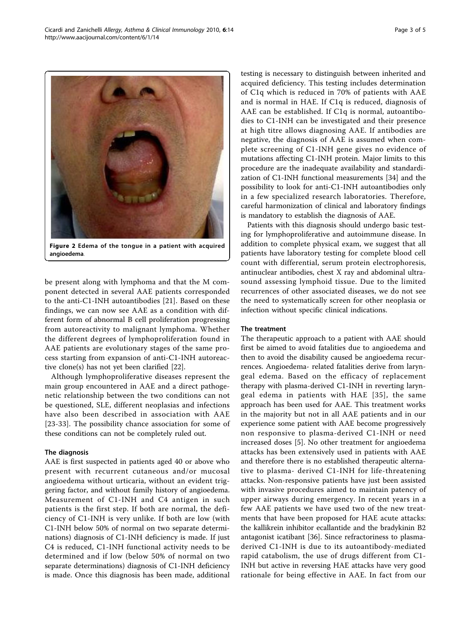<span id="page-2-0"></span>

Figure 2 Edema of the tongue in a patient with acquired angioedema.

be present along with lymphoma and that the M component detected in several AAE patients corresponded to the anti-C1-INH autoantibodies [[21\]](#page-4-0). Based on these findings, we can now see AAE as a condition with different form of abnormal B cell proliferation progressing from autoreactivity to malignant lymphoma. Whether the different degrees of lymphoproliferation found in AAE patients are evolutionary stages of the same process starting from expansion of anti-C1-INH autoreactive clone(s) has not yet been clarified [[22](#page-4-0)].

Although lymphoproliferative diseases represent the main group encountered in AAE and a direct pathogenetic relationship between the two conditions can not be questioned, SLE, different neoplasias and infections have also been described in association with AAE [[23](#page-4-0)-[33\]](#page-4-0). The possibility chance association for some of these conditions can not be completely ruled out.

#### The diagnosis

AAE is first suspected in patients aged 40 or above who present with recurrent cutaneous and/or mucosal angioedema without urticaria, without an evident triggering factor, and without family history of angioedema. Measurement of C1-INH and C4 antigen in such patients is the first step. If both are normal, the deficiency of C1-INH is very unlike. If both are low (with C1-INH below 50% of normal on two separate determinations) diagnosis of C1-INH deficiency is made. If just C4 is reduced, C1-INH functional activity needs to be determined and if low (below 50% of normal on two separate determinations) diagnosis of C1-INH deficiency is made. Once this diagnosis has been made, additional testing is necessary to distinguish between inherited and acquired deficiency. This testing includes determination of C1q which is reduced in 70% of patients with AAE and is normal in HAE. If C1q is reduced, diagnosis of AAE can be established. If C1q is normal, autoantibodies to C1-INH can be investigated and their presence at high titre allows diagnosing AAE. If antibodies are negative, the diagnosis of AAE is assumed when complete screening of C1-INH gene gives no evidence of mutations affecting C1-INH protein. Major limits to this procedure are the inadequate availability and standardization of C1-INH functional measurements [\[34\]](#page-4-0) and the possibility to look for anti-C1-INH autoantibodies only in a few specialized research laboratories. Therefore, careful harmonization of clinical and laboratory findings is mandatory to establish the diagnosis of AAE.

Patients with this diagnosis should undergo basic testing for lymphoproliferative and autoimmune disease. In addition to complete physical exam, we suggest that all patients have laboratory testing for complete blood cell count with differential, serum protein electrophoresis, antinuclear antibodies, chest X ray and abdominal ultrasound assessing lymphoid tissue. Due to the limited recurrences of other associated diseases, we do not see the need to systematically screen for other neoplasia or infection without specific clinical indications.

### The treatment

The therapeutic approach to a patient with AAE should first be aimed to avoid fatalities due to angioedema and then to avoid the disability caused be angioedema recurrences. Angioedema- related fatalities derive from laryngeal edema. Based on the efficacy of replacement therapy with plasma-derived C1-INH in reverting laryngeal edema in patients with HAE [[35\]](#page-4-0), the same approach has been used for AAE. This treatment works in the majority but not in all AAE patients and in our experience some patient with AAE become progressively non responsive to plasma-derived C1-INH or need increased doses [[5\]](#page-3-0). No other treatment for angioedema attacks has been extensively used in patients with AAE and therefore there is no established therapeutic alternative to plasma- derived C1-INH for life-threatening attacks. Non-responsive patients have just been assisted with invasive procedures aimed to maintain patency of upper airways during emergency. In recent years in a few AAE patients we have used two of the new treatments that have been proposed for HAE acute attacks: the kallikrein inhibitor ecallantide and the bradykinin B2 antagonist icatibant [\[36\]](#page-4-0). Since refractoriness to plasmaderived C1-INH is due to its autoantibody-mediated rapid catabolism, the use of drugs different from C1- INH but active in reversing HAE attacks have very good rationale for being effective in AAE. In fact from our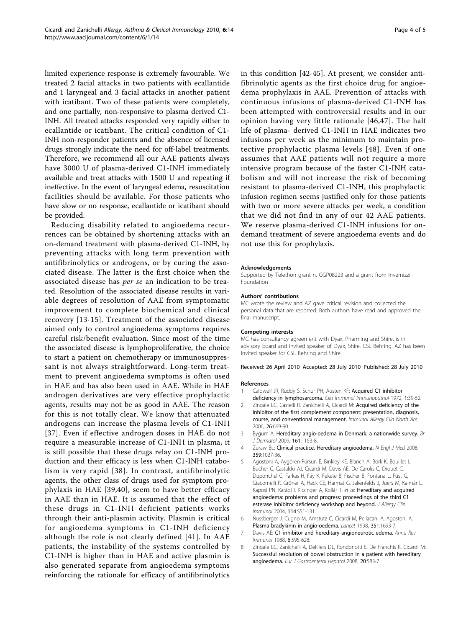<span id="page-3-0"></span>limited experience response is extremely favourable. We treated 2 facial attacks in two patients with ecallantide and 1 laryngeal and 3 facial attacks in another patient with icatibant. Two of these patients were completely, and one partially, non-responsive to plasma derived C1- INH. All treated attacks responded very rapidly either to ecallantide or icatibant. The critical condition of C1- INH non-responder patients and the absence of licensed drugs strongly indicate the need for off-label treatments. Therefore, we recommend all our AAE patients always have 3000 U of plasma-derived C1-INH immediately available and treat attacks with 1500 U and repeating if ineffective. In the event of laryngeal edema, resuscitation facilities should be available. For those patients who have slow or no response, ecallantide or icatibant should be provided.

Reducing disability related to angioedema recurrences can be obtained by shortening attacks with an on-demand treatment with plasma-derived C1-INH, by preventing attacks with long term prevention with antifibrinolytics or androgens, or by curing the associated disease. The latter is the first choice when the associated disease has per se an indication to be treated. Resolution of the associated disease results in variable degrees of resolution of AAE from symptomatic improvement to complete biochemical and clinical recovery [\[13-15\]](#page-4-0). Treatment of the associated disease aimed only to control angioedema symptoms requires careful risk/benefit evaluation. Since most of the time the associated disease is lymphoproliferative, the choice to start a patient on chemotherapy or immunosuppressant is not always straightforward. Long-term treatment to prevent angioedema symptoms is often used in HAE and has also been used in AAE. While in HAE androgen derivatives are very effective prophylactic agents, results may not be as good in AAE. The reason for this is not totally clear. We know that attenuated androgens can increase the plasma levels of C1-INH [[37](#page-4-0)]. Even if effective androgen doses in HAE do not require a measurable increase of C1-INH in plasma, it is still possible that these drugs relay on C1-INH production and their efficacy is less when C1-INH catabolism is very rapid [[38\]](#page-4-0). In contrast, antifibrinolytic agents, the other class of drugs used for symptom prophylaxis in HAE [\[39,40\]](#page-4-0), seem to have better efficacy in AAE than in HAE. It is assumed that the effect of these drugs in C1-INH deficient patients works through their anti-plasmin activity. Plasmin is critical for angioedema symptoms in C1-INH deficiency although the role is not clearly defined [\[41\]](#page-4-0). In AAE patients, the instability of the systems controlled by C1-INH is higher than in HAE and active plasmin is also generated separate from angioedema symptoms reinforcing the rationale for efficacy of antifibrinolytics

in this condition [[42-45\]](#page-4-0). At present, we consider antifibrinolytic agents as the first choice drug for angioedema prophylaxis in AAE. Prevention of attacks with continuous infusions of plasma-derived C1-INH has been attempted with controversial results and in our opinion having very little rationale [[46](#page-4-0),[47\]](#page-4-0). The half life of plasma- derived C1-INH in HAE indicates two infusions per week as the minimum to maintain protective prophylactic plasma levels [[48\]](#page-4-0). Even if one assumes that AAE patients will not require a more intensive program because of the faster C1-INH catabolism and will not increase the risk of becoming resistant to plasma-derived C1-INH, this prophylactic infusion regimen seems justified only for those patients with two or more severe attacks per week, a condition that we did not find in any of our 42 AAE patients. We reserve plasma-derived C1-INH infusions for ondemand treatment of severe angioedema events and do not use this for prophylaxis.

#### Acknowledgements

Supported by Telethon grant n. GGP08223 and a grant from Invernizzi Foundation

#### Authors' contributions

MC wrote the review and AZ gave critical revision and collected the personal data that are reported. Both authors have read and approved the final manuscript.

#### Competing interests

MC has consultancy agreement with Dyax, Pharming and Shire, is in advisory board and invited speaker of Dyax, Shire. CSL Behring. AZ has been Invited speaker for CSL Behring and Shire

Received: 26 April 2010 Accepted: 28 July 2010 Published: 28 July 2010

#### References

- 1. Caldwell JR, Ruddy S, Schur PH, Austen KF: Acquired C1 inhibitor
- deficiency in lymphosarcoma. Clin Immunol Immunopathol 1972, 1:39-52. 2. Zingale LC, Castelli R, Zanichelli A, Cicardi M: [Acquired deficiency of the](http://www.ncbi.nlm.nih.gov/pubmed/17085284?dopt=Abstract) [inhibitor of the first complement component: presentation, diagnosis,](http://www.ncbi.nlm.nih.gov/pubmed/17085284?dopt=Abstract) [course, and conventional management.](http://www.ncbi.nlm.nih.gov/pubmed/17085284?dopt=Abstract) Immunol Allergy Clin North Am 2006, 26:669-90.
- 3. Bygum A: [Hereditary angio-oedema in Denmark: a nationwide survey.](http://www.ncbi.nlm.nih.gov/pubmed/19709101?dopt=Abstract) Br J Dermatol 2009, 161:1153-8.
- 4. Zuraw BL: [Clinical practice. Hereditary angioedema.](http://www.ncbi.nlm.nih.gov/pubmed/18768946?dopt=Abstract) N Engl J Med 2008, 359:1027-36.
- 5. Agostoni A, Aygören-Pürsün E, Binkley KE, Blanch A, Bork K, Bouillet L, Bucher C, Castaldo AJ, Cicardi M, Davis AE, De Carolis C, Drouet C, Duponchel C, Farkas H, Fáy K, Fekete B, Fischer B, Fontana L, Füst G, Giacomelli R, Gröner A, Hack CE, Harmat G, Jakenfelds J, Juers M, Kalmár L, Kaposi PN, Karádi I, Kitzinger A, Kollár T, et al: [Hereditary and acquired](http://www.ncbi.nlm.nih.gov/pubmed/15356535?dopt=Abstract) [angioedema: problems and progress: proceedings of the third C1](http://www.ncbi.nlm.nih.gov/pubmed/15356535?dopt=Abstract) [esterase inhibitor deficiency workshop and beyond.](http://www.ncbi.nlm.nih.gov/pubmed/15356535?dopt=Abstract) J Allergy Clin Immunol 2004, 114:S51-131.
- 6. Nussberger J, Cugno M, Amstutz C, Cicardi M, Pellacani A, Agostoni A: [Plasma bradykinin in angio-oedema.](http://www.ncbi.nlm.nih.gov/pubmed/9734886?dopt=Abstract) Lancet 1998, 351:1693-7.
- 7. Davis AE: [C1 inhibitor and hereditary angioneurotic edema.](http://www.ncbi.nlm.nih.gov/pubmed/3289579?dopt=Abstract) Annu Rev Immunol 1988, 6:595-628.
- 8. Zingale LC, Zanichelli A, Deliliers DL, Rondonotti E, De Franchis R, Cicardi M: [Successful resolution of bowel obstruction in a patient with hereditary](http://www.ncbi.nlm.nih.gov/pubmed/18467921?dopt=Abstract) [angioedema.](http://www.ncbi.nlm.nih.gov/pubmed/18467921?dopt=Abstract) Eur J Gastroenterol Hepatol 2008, 20:583-7.